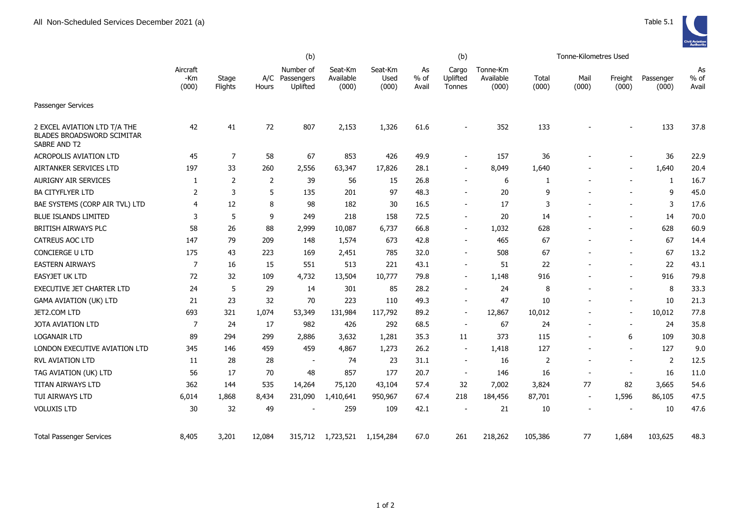|                                                                            | (b)                      |                  |        |                                         |                               |                          |                       | (b)                         |                                |                | Tonne-Kilometres Used    |                          |                    |                       |
|----------------------------------------------------------------------------|--------------------------|------------------|--------|-----------------------------------------|-------------------------------|--------------------------|-----------------------|-----------------------------|--------------------------------|----------------|--------------------------|--------------------------|--------------------|-----------------------|
|                                                                            | Aircraft<br>-Km<br>(000) | Stage<br>Flights | Hours  | Number of<br>A/C Passengers<br>Uplifted | Seat-Km<br>Available<br>(000) | Seat-Km<br>Used<br>(000) | As<br>$%$ of<br>Avail | Cargo<br>Uplifted<br>Tonnes | Tonne-Km<br>Available<br>(000) | Total<br>(000) | Mail<br>(000)            | Freight<br>(000)         | Passenger<br>(000) | As<br>$%$ of<br>Avail |
| <b>Passenger Services</b>                                                  |                          |                  |        |                                         |                               |                          |                       |                             |                                |                |                          |                          |                    |                       |
| 2 EXCEL AVIATION LTD T/A THE<br>BLADES BROADSWORD SCIMITAR<br>SABRE AND T2 | 42                       | 41               | 72     | 807                                     | 2,153                         | 1,326                    | 61.6                  | $\overline{\phantom{a}}$    | 352                            | 133            |                          |                          | 133                | 37.8                  |
| <b>ACROPOLIS AVIATION LTD</b>                                              | 45                       | 7                | 58     | 67                                      | 853                           | 426                      | 49.9                  | $\overline{\phantom{a}}$    | 157                            | 36             |                          |                          | 36                 | 22.9                  |
| AIRTANKER SERVICES LTD                                                     | 197                      | 33               | 260    | 2,556                                   | 63,347                        | 17,826                   | 28.1                  | $\overline{a}$              | 8,049                          | 1,640          |                          |                          | 1,640              | 20.4                  |
| <b>AURIGNY AIR SERVICES</b>                                                | 1                        | $\overline{2}$   | 2      | 39                                      | 56                            | 15                       | 26.8                  | $\overline{\phantom{a}}$    | 6                              | 1              |                          |                          | 1                  | 16.7                  |
| <b>BA CITYFLYER LTD</b>                                                    | 2                        | 3                | 5      | 135                                     | 201                           | 97                       | 48.3                  |                             | 20                             | 9              |                          |                          | 9                  | 45.0                  |
| BAE SYSTEMS (CORP AIR TVL) LTD                                             | 4                        | 12               | 8      | 98                                      | 182                           | 30                       | 16.5                  | $\overline{\phantom{a}}$    | 17                             | 3              |                          |                          | 3                  | 17.6                  |
| <b>BLUE ISLANDS LIMITED</b>                                                | 3                        | 5                | 9      | 249                                     | 218                           | 158                      | 72.5                  | $\overline{\phantom{a}}$    | 20                             | 14             |                          | $\overline{\phantom{a}}$ | 14                 | 70.0                  |
| BRITISH AIRWAYS PLC                                                        | 58                       | 26               | 88     | 2,999                                   | 10,087                        | 6,737                    | 66.8                  | $\overline{\phantom{a}}$    | 1,032                          | 628            |                          |                          | 628                | 60.9                  |
| CATREUS AOC LTD                                                            | 147                      | 79               | 209    | 148                                     | 1,574                         | 673                      | 42.8                  | $\overline{\phantom{a}}$    | 465                            | 67             |                          |                          | 67                 | 14.4                  |
| CONCIERGE U LTD                                                            | 175                      | 43               | 223    | 169                                     | 2,451                         | 785                      | 32.0                  | $\blacksquare$              | 508                            | 67             |                          |                          | 67                 | 13.2                  |
| <b>EASTERN AIRWAYS</b>                                                     | 7                        | 16               | 15     | 551                                     | 513                           | 221                      | 43.1                  | $\overline{\phantom{a}}$    | 51                             | 22             |                          | $\overline{\phantom{a}}$ | 22                 | 43.1                  |
| <b>EASYJET UK LTD</b>                                                      | 72                       | 32               | 109    | 4,732                                   | 13,504                        | 10,777                   | 79.8                  | $\overline{a}$              | 1,148                          | 916            |                          |                          | 916                | 79.8                  |
| EXECUTIVE JET CHARTER LTD                                                  | 24                       | 5                | 29     | 14                                      | 301                           | 85                       | 28.2                  | $\overline{\phantom{a}}$    | 24                             | 8              |                          | $\overline{\phantom{a}}$ | 8                  | 33.3                  |
| <b>GAMA AVIATION (UK) LTD</b>                                              | 21                       | 23               | 32     | 70                                      | 223                           | 110                      | 49.3                  | $\overline{\phantom{a}}$    | 47                             | 10             | $\overline{\phantom{a}}$ | $\overline{\phantom{a}}$ | 10                 | 21.3                  |
| JET2.COM LTD                                                               | 693                      | 321              | 1,074  | 53,349                                  | 131,984                       | 117,792                  | 89.2                  | $\blacksquare$              | 12,867                         | 10,012         |                          | $\blacksquare$           | 10,012             | 77.8                  |
| JOTA AVIATION LTD                                                          | 7                        | 24               | 17     | 982                                     | 426                           | 292                      | 68.5                  | $\blacksquare$              | 67                             | 24             | $\overline{\phantom{a}}$ | $\overline{\phantom{a}}$ | 24                 | 35.8                  |
| <b>LOGANAIR LTD</b>                                                        | 89                       | 294              | 299    | 2,886                                   | 3,632                         | 1,281                    | 35.3                  | 11                          | 373                            | 115            | $\overline{\phantom{a}}$ | 6                        | 109                | 30.8                  |
| LONDON EXECUTIVE AVIATION LTD                                              | 345                      | 146              | 459    | 459                                     | 4,867                         | 1,273                    | 26.2                  | $\blacksquare$              | 1,418                          | 127            |                          | $\overline{a}$           | 127                | 9.0                   |
| <b>RVL AVIATION LTD</b>                                                    | 11                       | 28               | 28     | $\overline{\phantom{a}}$                | 74                            | 23                       | 31.1                  | $\blacksquare$              | 16                             | 2              | $\overline{a}$           | $\blacksquare$           | 2                  | 12.5                  |
| TAG AVIATION (UK) LTD                                                      | 56                       | 17               | 70     | 48                                      | 857                           | 177                      | 20.7                  | $\overline{\phantom{a}}$    | 146                            | 16             |                          |                          | 16                 | 11.0                  |
| <b>TITAN AIRWAYS LTD</b>                                                   | 362                      | 144              | 535    | 14,264                                  | 75,120                        | 43,104                   | 57.4                  | 32                          | 7,002                          | 3,824          | 77                       | 82                       | 3,665              | 54.6                  |
| TUI AIRWAYS LTD                                                            | 6,014                    | 1,868            | 8,434  | 231,090                                 | 1,410,641                     | 950,967                  | 67.4                  | 218                         | 184,456                        | 87,701         | $\overline{a}$           | 1,596                    | 86,105             | 47.5                  |
| <b>VOLUXIS LTD</b>                                                         | 30                       | 32               | 49     |                                         | 259                           | 109                      | 42.1                  | $\overline{\phantom{a}}$    | 21                             | 10             |                          | $\overline{\phantom{a}}$ | 10                 | 47.6                  |
| <b>Total Passenger Services</b>                                            | 8,405                    | 3,201            | 12,084 | 315,712                                 | 1,723,521                     | 1,154,284                | 67.0                  | 261                         | 218,262                        | 105,386        | 77                       | 1,684                    | 103,625            | 48.3                  |